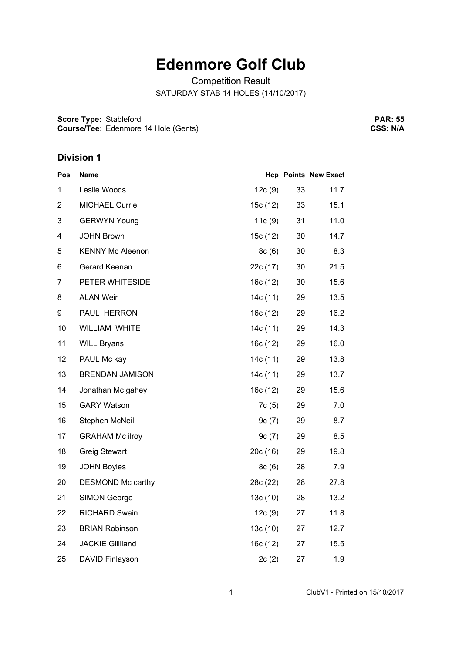# **Edenmore Golf Club**

Competition Result SATURDAY STAB 14 HOLES (14/10/2017)

**Score Type:** Stableford **Course/Tee:** Edenmore 14 Hole (Gents)

**PAR: 55 CSS: N/A**

| <u>Pos</u>     | <b>Name</b>             |          |    | <b>Hcp Points New Exact</b> |
|----------------|-------------------------|----------|----|-----------------------------|
| 1              | Leslie Woods            | 12c(9)   | 33 | 11.7                        |
| $\overline{2}$ | <b>MICHAEL Currie</b>   | 15c (12) | 33 | 15.1                        |
| 3              | <b>GERWYN Young</b>     | 11c(9)   | 31 | 11.0                        |
| 4              | <b>JOHN Brown</b>       | 15c (12) | 30 | 14.7                        |
| 5              | <b>KENNY Mc Aleenon</b> | 8c(6)    | 30 | 8.3                         |
| 6              | Gerard Keenan           | 22c (17) | 30 | 21.5                        |
| 7              | PETER WHITESIDE         | 16c (12) | 30 | 15.6                        |
| 8              | <b>ALAN Weir</b>        | 14c (11) | 29 | 13.5                        |
| 9              | PAUL HERRON             | 16c (12) | 29 | 16.2                        |
| 10             | WILLIAM WHITE           | 14c (11) | 29 | 14.3                        |
| 11             | <b>WILL Bryans</b>      | 16c(12)  | 29 | 16.0                        |
| 12             | PAUL Mc kay             | 14c (11) | 29 | 13.8                        |
| 13             | <b>BRENDAN JAMISON</b>  | 14c (11) | 29 | 13.7                        |
| 14             | Jonathan Mc gahey       | 16c(12)  | 29 | 15.6                        |
| 15             | <b>GARY Watson</b>      | 7c(5)    | 29 | 7.0                         |
| 16             | Stephen McNeill         | 9c(7)    | 29 | 8.7                         |
| 17             | <b>GRAHAM Mc ilroy</b>  | 9c(7)    | 29 | 8.5                         |
| 18             | <b>Greig Stewart</b>    | 20c(16)  | 29 | 19.8                        |
| 19             | <b>JOHN Boyles</b>      | 8c(6)    | 28 | 7.9                         |
| 20             | DESMOND Mc carthy       | 28c (22) | 28 | 27.8                        |
| 21             | <b>SIMON George</b>     | 13c(10)  | 28 | 13.2                        |
| 22             | <b>RICHARD Swain</b>    | 12c(9)   | 27 | 11.8                        |
| 23             | <b>BRIAN Robinson</b>   | 13c (10) | 27 | 12.7                        |
| 24             | <b>JACKIE Gilliland</b> | 16c (12) | 27 | 15.5                        |
| 25             | DAVID Finlayson         | 2c(2)    | 27 | 1.9                         |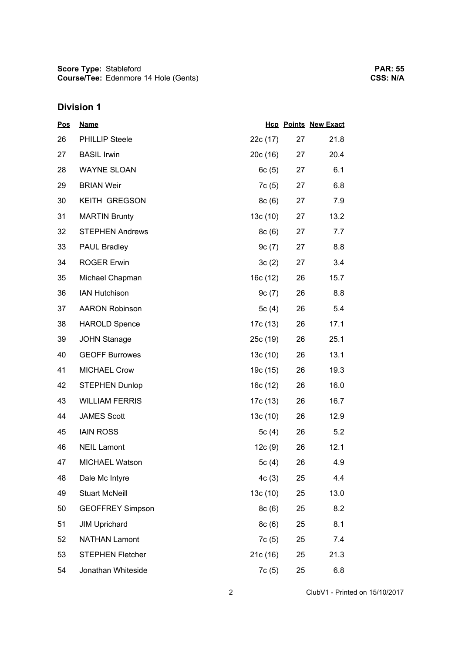| <u>Pos</u> | <b>Name</b>             |          |    | <b>Hcp Points New Exact</b> |
|------------|-------------------------|----------|----|-----------------------------|
| 26         | <b>PHILLIP Steele</b>   | 22c (17) | 27 | 21.8                        |
| 27         | <b>BASIL Irwin</b>      | 20c (16) | 27 | 20.4                        |
| 28         | <b>WAYNE SLOAN</b>      | 6c(5)    | 27 | 6.1                         |
| 29         | <b>BRIAN Weir</b>       | 7c(5)    | 27 | 6.8                         |
| 30         | KEITH GREGSON           | 8c(6)    | 27 | 7.9                         |
| 31         | <b>MARTIN Brunty</b>    | 13c(10)  | 27 | 13.2                        |
| 32         | <b>STEPHEN Andrews</b>  | 8c(6)    | 27 | 7.7                         |
| 33         | PAUL Bradley            | 9c(7)    | 27 | 8.8                         |
| 34         | <b>ROGER Erwin</b>      | 3c(2)    | 27 | 3.4                         |
| 35         | Michael Chapman         | 16c(12)  | 26 | 15.7                        |
| 36         | <b>IAN Hutchison</b>    | 9c(7)    | 26 | 8.8                         |
| 37         | <b>AARON Robinson</b>   | 5 $c(4)$ | 26 | 5.4                         |
| 38         | <b>HAROLD Spence</b>    | 17c (13) | 26 | 17.1                        |
| 39         | <b>JOHN Stanage</b>     | 25c (19) | 26 | 25.1                        |
| 40         | <b>GEOFF Burrowes</b>   | 13c(10)  | 26 | 13.1                        |
| 41         | <b>MICHAEL Crow</b>     | 19c (15) | 26 | 19.3                        |
| 42         | <b>STEPHEN Dunlop</b>   | 16c (12) | 26 | 16.0                        |
| 43         | <b>WILLIAM FERRIS</b>   | 17c (13) | 26 | 16.7                        |
| 44         | <b>JAMES Scott</b>      | 13c(10)  | 26 | 12.9                        |
| 45         | <b>IAIN ROSS</b>        | 5c $(4)$ | 26 | 5.2                         |
| 46         | <b>NEIL Lamont</b>      | 12c(9)   | 26 | 12.1                        |
| 47         | <b>MICHAEL Watson</b>   | 5 $c(4)$ | 26 | 4.9                         |
| 48         | Dale Mc Intyre          | 4c(3)    | 25 | 4.4                         |
| 49         | <b>Stuart McNeill</b>   | 13c (10) | 25 | 13.0                        |
| 50         | <b>GEOFFREY Simpson</b> | 8c(6)    | 25 | 8.2                         |
| 51         | <b>JIM Uprichard</b>    | 8c(6)    | 25 | 8.1                         |
| 52         | <b>NATHAN Lamont</b>    | 7c(5)    | 25 | 7.4                         |
| 53         | <b>STEPHEN Fletcher</b> | 21c (16) | 25 | 21.3                        |
| 54         | Jonathan Whiteside      | 7c (5)   | 25 | 6.8                         |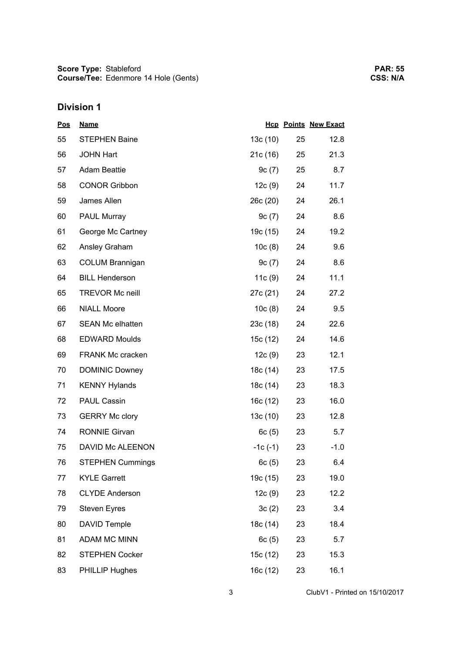| <u>Pos</u> | <b>Name</b>             |           |    | <b>Hcp Points New Exact</b> |
|------------|-------------------------|-----------|----|-----------------------------|
| 55         | <b>STEPHEN Baine</b>    | 13c(10)   | 25 | 12.8                        |
| 56         | <b>JOHN Hart</b>        | 21c(16)   | 25 | 21.3                        |
| 57         | <b>Adam Beattie</b>     | 9c(7)     | 25 | 8.7                         |
| 58         | <b>CONOR Gribbon</b>    | 12c(9)    | 24 | 11.7                        |
| 59         | James Allen             | 26c (20)  | 24 | 26.1                        |
| 60         | <b>PAUL Murray</b>      | 9c(7)     | 24 | 8.6                         |
| 61         | George Mc Cartney       | 19c (15)  | 24 | 19.2                        |
| 62         | Ansley Graham           | 10c(8)    | 24 | 9.6                         |
| 63         | <b>COLUM Brannigan</b>  | 9c(7)     | 24 | 8.6                         |
| 64         | <b>BILL Henderson</b>   | 11c(9)    | 24 | 11.1                        |
| 65         | <b>TREVOR Mc neill</b>  | 27c (21)  | 24 | 27.2                        |
| 66         | <b>NIALL Moore</b>      | 10c(8)    | 24 | 9.5                         |
| 67         | <b>SEAN Mc elhatten</b> | 23c(18)   | 24 | 22.6                        |
| 68         | <b>EDWARD Moulds</b>    | 15c (12)  | 24 | 14.6                        |
| 69         | FRANK Mc cracken        | 12c(9)    | 23 | 12.1                        |
| 70         | <b>DOMINIC Downey</b>   | 18c (14)  | 23 | 17.5                        |
| 71         | <b>KENNY Hylands</b>    | 18c (14)  | 23 | 18.3                        |
| 72         | <b>PAUL Cassin</b>      | 16c (12)  | 23 | 16.0                        |
| 73         | <b>GERRY Mc clory</b>   | 13c(10)   | 23 | 12.8                        |
| 74         | <b>RONNIE Girvan</b>    | 6c(5)     | 23 | 5.7                         |
| 75         | DAVID Mc ALEENON        | $-1c(-1)$ | 23 | $-1.0$                      |
| 76         | <b>STEPHEN Cummings</b> | 6c(5)     | 23 | 6.4                         |
| 77         | <b>KYLE Garrett</b>     | 19c (15)  | 23 | 19.0                        |
| 78         | <b>CLYDE Anderson</b>   | 12c(9)    | 23 | 12.2                        |
| 79         | <b>Steven Eyres</b>     | 3c(2)     | 23 | 3.4                         |
| 80         | DAVID Temple            | 18c (14)  | 23 | 18.4                        |
| 81         | ADAM MC MINN            | 6c(5)     | 23 | 5.7                         |
| 82         | <b>STEPHEN Cocker</b>   | 15c (12)  | 23 | 15.3                        |
| 83         | PHILLIP Hughes          | 16c (12)  | 23 | 16.1                        |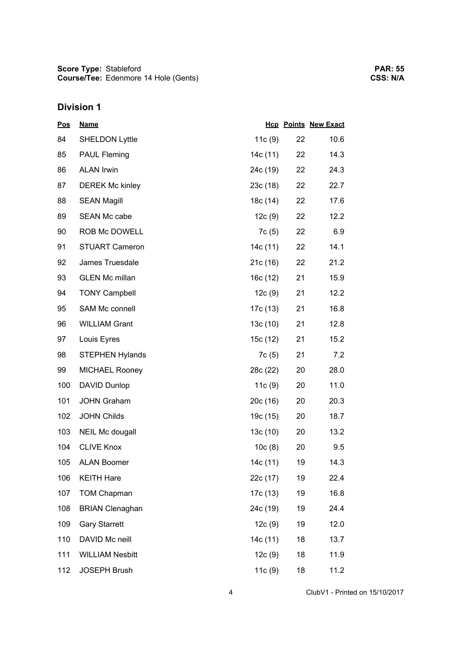| <b>Pos</b> | <b>Name</b>            |           |    | <b>Hcp Points New Exact</b> |
|------------|------------------------|-----------|----|-----------------------------|
| 84         | <b>SHELDON Lyttle</b>  | 11 $c(9)$ | 22 | 10.6                        |
| 85         | <b>PAUL Fleming</b>    | 14c (11)  | 22 | 14.3                        |
| 86         | <b>ALAN Irwin</b>      | 24c (19)  | 22 | 24.3                        |
| 87         | <b>DEREK Mc kinley</b> | 23c (18)  | 22 | 22.7                        |
| 88         | <b>SEAN Magill</b>     | 18c (14)  | 22 | 17.6                        |
| 89         | <b>SEAN Mc cabe</b>    | 12c(9)    | 22 | 12.2                        |
| 90         | ROB Mc DOWELL          | 7c (5)    | 22 | 6.9                         |
| 91         | <b>STUART Cameron</b>  | 14c (11)  | 22 | 14.1                        |
| 92         | James Truesdale        | 21c(16)   | 22 | 21.2                        |
| 93         | <b>GLEN Mc millan</b>  | 16c(12)   | 21 | 15.9                        |
| 94         | <b>TONY Campbell</b>   | 12c(9)    | 21 | 12.2                        |
| 95         | SAM Mc connell         | 17c (13)  | 21 | 16.8                        |
| 96         | <b>WILLIAM Grant</b>   | 13c(10)   | 21 | 12.8                        |
| 97         | Louis Eyres            | 15c (12)  | 21 | 15.2                        |
| 98         | <b>STEPHEN Hylands</b> | 7c(5)     | 21 | 7.2                         |
| 99         | <b>MICHAEL Rooney</b>  | 28c (22)  | 20 | 28.0                        |
| 100        | DAVID Dunlop           | 11c(9)    | 20 | 11.0                        |
| 101        | <b>JOHN Graham</b>     | 20c(16)   | 20 | 20.3                        |
| 102        | <b>JOHN Childs</b>     | 19c (15)  | 20 | 18.7                        |
| 103        | NEIL Mc dougall        | 13c(10)   | 20 | 13.2                        |
| 104        | <b>CLIVE Knox</b>      | 10c(8)    | 20 | 9.5                         |
| 105        | <b>ALAN Boomer</b>     | 14c (11)  | 19 | 14.3                        |
| 106        | <b>KEITH Hare</b>      | 22c (17)  | 19 | 22.4                        |
| 107        | <b>TOM Chapman</b>     | 17c (13)  | 19 | 16.8                        |
| 108        | <b>BRIAN Clenaghan</b> | 24c (19)  | 19 | 24.4                        |
| 109        | <b>Gary Starrett</b>   | 12c(9)    | 19 | 12.0                        |
| 110        | DAVID Mc neill         | 14c (11)  | 18 | 13.7                        |
| 111        | <b>WILLIAM Nesbitt</b> | 12c(9)    | 18 | 11.9                        |
| 112        | <b>JOSEPH Brush</b>    | 11c(9)    | 18 | 11.2                        |